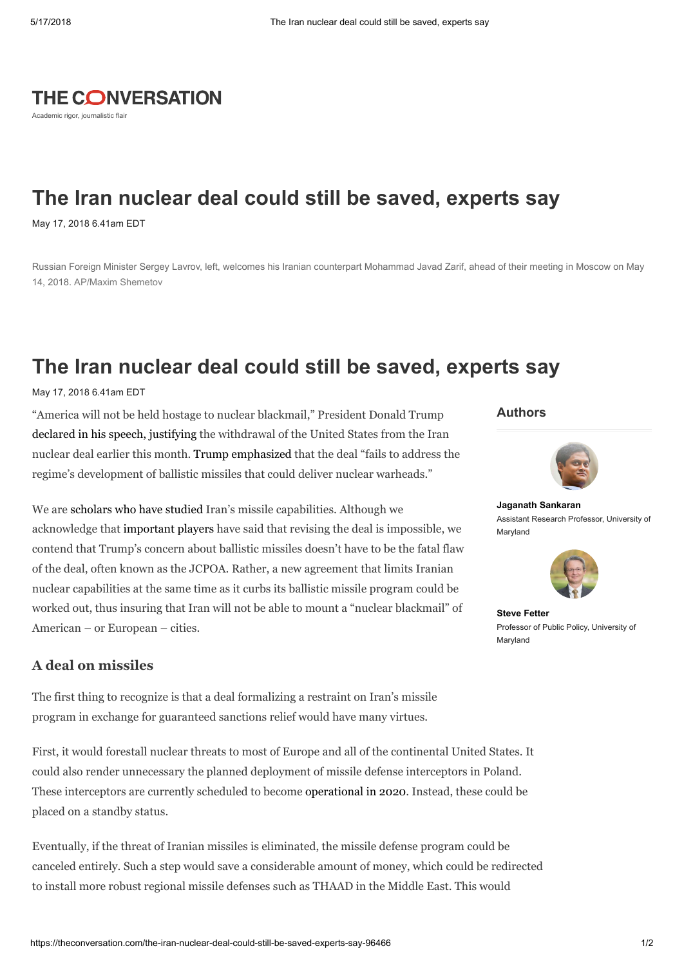# **THE CONVERSATION**

Academic rigor, journalistic flair

## The Iran nuclear deal could still be saved, experts say

May 17, 2018 6.41am EDT

Russian Foreign Minister Sergey Lavrov, left, welcomes his Iranian counterpart Mohammad Javad Zarif, ahead of their meeting in Moscow on May 14, 2018. AP/Maxim Shemetov

### The Iran nuclear deal could still be saved, experts say

May 17, 2018 6.41am EDT

"America will not be held hostage to nuclear blackmail," President Donald Trump declared in his speech, [justifying](https://www.nytimes.com/2018/05/08/us/politics/trump-speech-iran-deal.html) the withdrawal of the United States from the Iran nuclear deal earlier this month. Trump [emphasized](https://www.nytimes.com/2018/05/08/us/politics/trump-speech-iran-deal.html) that the deal "fails to address the regime's development of ballistic missiles that could deliver nuclear warheads."

We are [scholars](https://scholar.google.com/citations?user=6EtsgDAAAAAJ&hl=en) who have [studied](https://scholar.google.com/citations?user=r-NBzaYAAAAJ&hl=en) Iran's missile capabilities. Although we acknowledge that [important](https://www.tasnimnews.com/en/news/2018/02/05/1648358/russia-says-revising-iran-nuclear-deal-is-impossible) players have said that revising the deal is impossible, we contend that Trump's concern about ballistic missiles doesn't have to be the fatal flaw of the deal, often known as the JCPOA. Rather, a new agreement that limits Iranian nuclear capabilities at the same time as it curbs its ballistic missile program could be worked out, thus insuring that Iran will not be able to mount a "nuclear blackmail" of American – or European – cities.

### A deal on missiles

The first thing to recognize is that a deal formalizing a restraint on Iran's missile program in exchange for guaranteed sanctions relief would have many virtues.

First, it would forestall nuclear threats to most of Europe and all of the continental United States. It could also render unnecessary the planned deployment of missile defense interceptors in Poland. These interceptors are currently scheduled to become [operational](https://breakingdefense.com/2018/03/crucial-polish-missile-defense-site-delayed-two-years-mda/) in 2020. Instead, these could be placed on a standby status.

Eventually, if the threat of Iranian missiles is eliminated, the missile defense program could be canceled entirely. Such a step would save a considerable amount of money, which could be redirected to install more robust regional missile defenses such as THAAD in the Middle East. This would

#### Authors



Jaganath [Sankaran](https://theconversation.com/profiles/jaganath-sankaran-476858) Assistant Research Professor, University of Maryland



Steve [Fetter](https://theconversation.com/profiles/steve-fetter-381218) Professor of Public Policy, University of Maryland